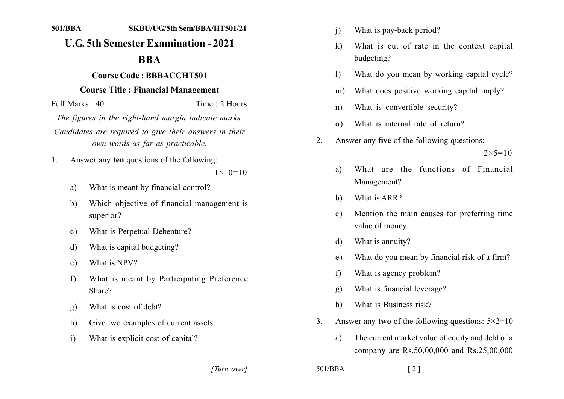#### **1111111 1111111111111111111111111111**

# **U.G. 5th Semester Examination - 2021**

### **1211**

## **Course Code: BBBACCHT501**

#### **Course Title: Financial Management**

Full Marks: 40 Time: 2 Hours The figures in the right-hand margin indicate marks. Candidates are required to give their answers in their *own words as far as practicable.* 

1. Answer any **ten** questions of the following:

 $1 \times 10 = 10$ 

- a) What is meant by financial control?
- b) Which objective of financial management is superior?
- c) What is Perpetual Debenture?
- d) What is capital budgeting?
- e) What is NPV?
- f) What is meant by Participating Preference Share?
- g) What is cost of debt?
- h) Give two examples of current assets.
- i) What is explicit cost of capital?
- i) What is pay-back period?
- k) What is cut of rate in the context capital budgeting?
- 1) What do you mean by working capital cycle?
- m) What does positive working capital imply?
- n) What is convertible security?
- o) What is internal rate of return?
- 2. Answer any **five** of the following questions:

 $2 \times 5 = 10$ 

- a) What are the functions of Financial Management?
- b) What is ARR?
- c) Mention the main causes for preferring time value of money.
- d) What is annuity?
- e) What do you mean by financial risk of a firm?
- f) What is agency problem?
- g) What is financial leverage?
- h) What is Business risk?
- 3. Answer any **two** of the following questions:  $5 \times 2 = 10$ 
	- a) The current market value of equity and debt of a company are  $Rs.50,00,000$  and  $Rs.25,00,000$

*]]]]]] ]]]]]*

 $501/BBA$  [2]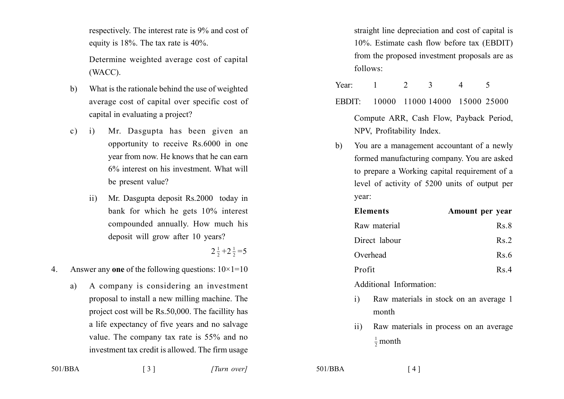respectively. The interest rate is 9% and cost of equity is  $18\%$ . The tax rate is  $40\%$ .

Determine weighted average cost of capital  $(WACC)$ .

- What is the rationale behind the use of weighted  $b)$ average cost of capital over specific cost of capital in evaluating a project?
- Mr. Dasgupta has been given an  $\mathbf{c}$ )  $\mathbf{i}$ opportunity to receive Rs.6000 in one year from now. He knows that he can earn 6% interest on his investment. What will be present value?
	- Mr. Dasgupta deposit Rs.2000 today in  $\overline{11}$ bank for which he gets 10% interest compounded annually. How much his deposit will grow after 10 years?

 $2\frac{1}{2}+2\frac{1}{2}=5$ 

 $\overline{4}$ Answer any one of the following questions:  $10\times1=10$ 

 $\lceil 3 \rceil$ 

A company is considering an investment a) proposal to install a new milling machine. The project cost will be Rs.50,000. The facillity has a life expectancy of five years and no salvage value. The company tax rate is 55% and no investment tax credit is allowed. The firm usage straight line depreciation and cost of capital is 10%. Estimate cash flow before tax (EBDIT) from the proposed investment proposals are as follows:

2 Year:  $\overline{1}$ 3  $\overline{4}$ 5

- EBDIT: 10000 11000 14000 15000 25000 Compute ARR, Cash Flow, Payback Period, NPV, Profitability Index.
- You are a management accountant of a newly  $h$ formed manufacturing company. You are asked to prepare a Working capital requirement of a level of activity of 5200 units of output per year:

| <b>Elements</b> | Amount per year |
|-----------------|-----------------|
| Raw material    | Rs.8            |
| Direct labour   | Rs.2            |
| Overhead        | Rs.6            |
| Profit          | Rs.4            |
|                 |                 |

Additional Information

- Raw materials in stock on an average 1  $\mathbf{i}$ month
- Raw materials in process on an average  $\overline{11}$  $\frac{1}{2}$  month

 $501/BBA$